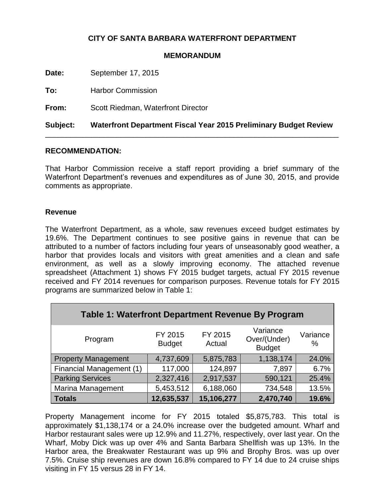## **CITY OF SANTA BARBARA WATERFRONT DEPARTMENT**

## **MEMORANDUM**

**Date:** September 17, 2015

**To:** Harbor Commission

**From:** Scott Riedman, Waterfront Director

**Subject: Waterfront Department Fiscal Year 2015 Preliminary Budget Review** \_\_\_\_\_\_\_\_\_\_\_\_\_\_\_\_\_\_\_\_\_\_\_\_\_\_\_\_\_\_\_\_\_\_\_\_\_\_\_\_\_\_\_\_\_\_\_\_\_\_\_\_\_\_\_\_\_\_\_\_\_\_\_\_\_\_\_\_\_\_

#### **RECOMMENDATION:**

That Harbor Commission receive a staff report providing a brief summary of the Waterfront Department's revenues and expenditures as of June 30, 2015, and provide comments as appropriate.

## **Revenue**

The Waterfront Department, as a whole, saw revenues exceed budget estimates by 19.6%. The Department continues to see positive gains in revenue that can be attributed to a number of factors including four years of unseasonably good weather, a harbor that provides locals and visitors with great amenities and a clean and safe environment, as well as a slowly improving economy. The attached revenue spreadsheet (Attachment 1) shows FY 2015 budget targets, actual FY 2015 revenue received and FY 2014 revenues for comparison purposes. Revenue totals for FY 2015 programs are summarized below in Table 1:

| <b>Table 1: Waterfront Department Revenue By Program</b> |                          |                   |                                           |               |  |  |
|----------------------------------------------------------|--------------------------|-------------------|-------------------------------------------|---------------|--|--|
| Program                                                  | FY 2015<br><b>Budget</b> | FY 2015<br>Actual | Variance<br>Over/(Under)<br><b>Budget</b> | Variance<br>% |  |  |
| <b>Property Management</b>                               | 4,737,609                | 5,875,783         | 1,138,174                                 | 24.0%         |  |  |
| Financial Management (1)                                 | 117,000                  | 124,897           | 7,897                                     | 6.7%          |  |  |
| <b>Parking Services</b>                                  | 2,327,416                | 2,917,537         | 590,121                                   | 25.4%         |  |  |
| <b>Marina Management</b>                                 | 5,453,512                | 6,188,060         | 734,548                                   | 13.5%         |  |  |
| <b>Totals</b>                                            | 12,635,537               | 15,106,277        | 2,470,740                                 | 19.6%         |  |  |

Property Management income for FY 2015 totaled \$5,875,783. This total is approximately \$1,138,174 or a 24.0% increase over the budgeted amount. Wharf and Harbor restaurant sales were up 12.9% and 11.27%, respectively, over last year. On the Wharf, Moby Dick was up over 4% and Santa Barbara Shellfish was up 13%. In the Harbor area, the Breakwater Restaurant was up 9% and Brophy Bros. was up over 7.5%. Cruise ship revenues are down 16.8% compared to FY 14 due to 24 cruise ships visiting in FY 15 versus 28 in FY 14.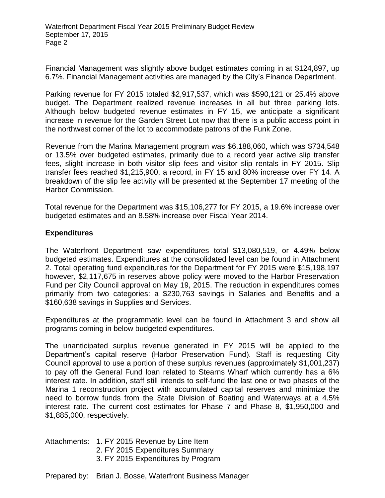Financial Management was slightly above budget estimates coming in at \$124,897, up 6.7%. Financial Management activities are managed by the City's Finance Department.

Parking revenue for FY 2015 totaled \$2,917,537, which was \$590,121 or 25.4% above budget. The Department realized revenue increases in all but three parking lots. Although below budgeted revenue estimates in FY 15, we anticipate a significant increase in revenue for the Garden Street Lot now that there is a public access point in the northwest corner of the lot to accommodate patrons of the Funk Zone.

Revenue from the Marina Management program was \$6,188,060, which was \$734,548 or 13.5% over budgeted estimates, primarily due to a record year active slip transfer fees, slight increase in both visitor slip fees and visitor slip rentals in FY 2015. Slip transfer fees reached \$1,215,900, a record, in FY 15 and 80% increase over FY 14. A breakdown of the slip fee activity will be presented at the September 17 meeting of the Harbor Commission.

Total revenue for the Department was \$15,106,277 for FY 2015, a 19.6% increase over budgeted estimates and an 8.58% increase over Fiscal Year 2014.

## **Expenditures**

The Waterfront Department saw expenditures total \$13,080,519, or 4.49% below budgeted estimates. Expenditures at the consolidated level can be found in Attachment 2. Total operating fund expenditures for the Department for FY 2015 were \$15,198,197 however, \$2,117,675 in reserves above policy were moved to the Harbor Preservation Fund per City Council approval on May 19, 2015. The reduction in expenditures comes primarily from two categories: a \$230,763 savings in Salaries and Benefits and a \$160,638 savings in Supplies and Services.

Expenditures at the programmatic level can be found in Attachment 3 and show all programs coming in below budgeted expenditures.

The unanticipated surplus revenue generated in FY 2015 will be applied to the Department's capital reserve (Harbor Preservation Fund). Staff is requesting City Council approval to use a portion of these surplus revenues (approximately \$1,001,237) to pay off the General Fund loan related to Stearns Wharf which currently has a 6% interest rate. In addition, staff still intends to self-fund the last one or two phases of the Marina 1 reconstruction project with accumulated capital reserves and minimize the need to borrow funds from the State Division of Boating and Waterways at a 4.5% interest rate. The current cost estimates for Phase 7 and Phase 8, \$1,950,000 and \$1,885,000, respectively.

Attachments: 1. FY 2015 Revenue by Line Item

- 2. FY 2015 Expenditures Summary
- 3. FY 2015 Expenditures by Program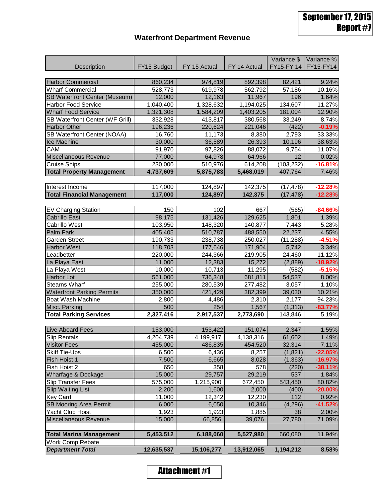## **Waterfront Department Revenue**

|                                   |             |              |              | Variance \$ | Variance % |
|-----------------------------------|-------------|--------------|--------------|-------------|------------|
| <b>Description</b>                | FY15 Budget | FY 15 Actual | FY 14 Actual | FY15-FY 14  | FY15-FY14  |
|                                   |             |              |              |             |            |
| <b>Harbor Commercial</b>          | 860,234     | 974,819      | 892,398      | 82,421      | 9.24%      |
| <b>Wharf Commercial</b>           | 528,773     | 619,978      | 562,792      | 57,186      | 10.16%     |
| SB Waterfront Center (Museum)     | 12,000      | 12,163       | 11,967       | 196         | 1.64%      |
| <b>Harbor Food Service</b>        | 1,040,400   | 1,328,632    | 1,194,025    | 134,607     | 11.27%     |
| <b>Wharf Food Service</b>         | 1,321,308   | 1,584,209    | 1,403,205    | 181,004     | 12.90%     |
| SB Waterfront Center (WF Grill)   | 332,928     | 413,817      | 380,568      | 33,249      | 8.74%      |
| <b>Harbor Other</b>               | 196,236     | 220,624      | 221,046      | (422)       | $-0.19%$   |
| SB Waterfront Center (NOAA)       | 16,760      | 11,173       | 8,380        | 2,793       | 33.33%     |
| Ice Machine                       | 30,000      | 36,589       | 26,393       | 10,196      | 38.63%     |
| CAM                               | 91,970      | 97,826       | 88,072       | 9,754       | 11.07%     |
| Miscellaneous Revenue             | 77,000      | 64,978       | 64,966       | 12          | 0.02%      |
| <b>Cruise Ships</b>               | 230,000     | 510,976      | 614,208      | (103, 232)  | $-16.81%$  |
| <b>Total Property Management</b>  | 4,737,609   | 5,875,783    | 5,468,019    | 407,764     | 7.46%      |
|                                   |             |              |              |             |            |
| Interest Income                   | 117,000     | 124,897      | 142,375      | (17, 478)   | $-12.28%$  |
| <b>Total Financial Management</b> | 117,000     | 124,897      | 142,375      | (17, 478)   | $-12.28%$  |
|                                   |             |              |              |             |            |
| <b>EV Charging Station</b>        | 150         | 102          | 667          | (565)       | $-84.66%$  |
| <b>Cabrillo East</b>              | 98,175      | 131,426      | 129,625      | 1,801       | 1.39%      |
| Cabrillo West                     | 103,950     | 148,320      | 140,877      | 7,443       | 5.28%      |
| Palm Park                         | 405,405     | 510,787      | 488,550      | 22,237      | 4.55%      |
| <b>Garden Street</b>              | 190,733     | 238,738      | 250,027      | (11, 288)   | $-4.51%$   |
| <b>Harbor West</b>                | 118,703     | 177,646      | 171,904      | 5,742       | 3.34%      |
| Leadbetter                        | 220,000     | 244,366      | 219,905      | 24,460      | 11.12%     |
| La Playa East                     | 11,000      | 12,383       | 15,272       | (2,889)     | $-18.92%$  |
| La Playa West                     | 10,000      | 10,713       | 11,295       | (582)       | $-5.15%$   |
| Harbor Lot                        | 561,000     | 736,348      | 681,811      | 54,537      | 8.00%      |
| <b>Stearns Wharf</b>              | 255,000     | 280,539      | 277,482      | 3,057       | 1.10%      |
| <b>Waterfront Parking Permits</b> | 350,000     | 421,429      | 382,399      | 39,030      | 10.21%     |
| Boat Wash Machine                 | 2,800       | 4,486        | 2,310        | 2,177       | 94.23%     |
| Misc. Parking                     | 500         | 254          | 1,567        | (1, 313)    | $-83.77%$  |
| <b>Total Parking Services</b>     | 2,327,416   | 2,917,537    | 2,773,690    | 143,846     | 5.19%      |
|                                   |             |              |              |             |            |
| Live Aboard Fees                  | 153,000     | 153,422      | 151,074      | 2,347       | 1.55%      |
| <b>Slip Rentals</b>               | 4,204,739   | 4,199,917    | 4,138,316    | 61,602      | 1.49%      |
| <b>Visitor Fees</b>               | 455,000     | 486,835      | 454,520      | 32,314      | 7.11%      |
| <b>Skiff Tie-Ups</b>              | 6,500       | 6,436        | 8,257        | (1,821)     | $-22.05%$  |
| Fish Hoist 1                      | 7,500       | 6,665        | 8,028        | (1, 363)    | $-16.97%$  |
| Fish Hoist 2                      | 650         | 358          | 578          | (220)       | $-38.11%$  |
| Wharfage & Dockage                | 15,000      | 29,757       | 29,219       | 537         | 1.84%      |
| <b>Slip Transfer Fees</b>         | 575,000     | 1,215,900    | 672,450      | 543,450     | 80.82%     |
| <b>Slip Waiting List</b>          | 2,200       | 1,600        | 2,000        | (400)       | $-20.00%$  |
| Key Card                          | 11,000      | 12,342       | 12,230       | 112         | 0.92%      |
| <b>SB Mooring Area Permit</b>     | 6,000       | 6,050        | 10,346       | (4, 296)    | $-41.52%$  |
| Yacht Club Hoist                  | 1,923       | 1,923        | 1,885        | 38          | 2.00%      |
| Miscellaneous Revenue             | 15,000      | 66,856       | 39,076       | 27,780      | 71.09%     |
|                                   |             |              |              |             |            |
| <b>Total Marina Management</b>    | 5,453,512   | 6,188,060    | 5,527,980    | 660,080     | 11.94%     |
| Work Comp Rebate                  |             |              |              |             |            |
| <b>Department Total</b>           | 12,635,537  | 15,106,277   | 13,912,065   | 1,194,212   | 8.58%      |

**Attachment #1**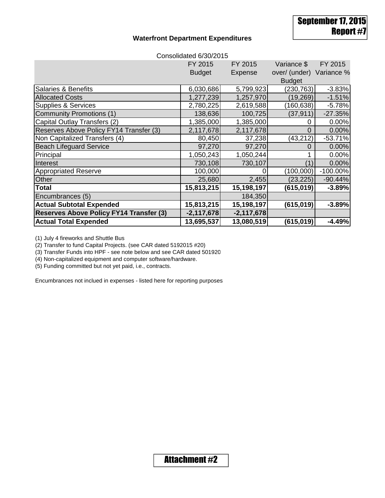September 17, 2015 Report #7

#### **Waterfront Department Expenditures**

| Consolidated 6/30/2015                         |               |              |                          |             |  |
|------------------------------------------------|---------------|--------------|--------------------------|-------------|--|
|                                                | FY 2015       | FY 2015      | Variance \$              | FY 2015     |  |
|                                                | <b>Budget</b> | Expense      | over/ (under) Variance % |             |  |
|                                                |               |              | <b>Budget</b>            |             |  |
| <b>Salaries &amp; Benefits</b>                 | 6,030,686     | 5,799,923    | (230, 763)               | $-3.83%$    |  |
| <b>Allocated Costs</b>                         | 1,277,239     | 1,257,970    | (19,269)                 | $-1.51%$    |  |
| <b>Supplies &amp; Services</b>                 | 2,780,225     | 2,619,588    | (160, 638)               | $-5.78%$    |  |
| <b>Community Promotions (1)</b>                | 138,636       | 100,725      | (37, 911)                | $-27.35%$   |  |
| Capital Outlay Transfers (2)                   | 1,385,000     | 1,385,000    | 0                        | 0.00%       |  |
| Reserves Above Policy FY14 Transfer (3)        | 2,117,678     | 2,117,678    | 0                        | 0.00%       |  |
| Non Capitalized Transfers (4)                  | 80,450        | 37,238       | (43,212)                 | $-53.71%$   |  |
| <b>Beach Lifeguard Service</b>                 | 97,270        | 97,270       | 0                        | 0.00%       |  |
| Principal                                      | 1,050,243     | 1,050,244    |                          | 0.00%       |  |
| Interest                                       | 730,108       | 730,107      | 11                       | 0.00%       |  |
| <b>Appropriated Reserve</b>                    | 100,000       | 0            | (100,000)                | $-100.00\%$ |  |
| Other                                          | 25,680        | 2,455        | (23, 225)                | $-90.44%$   |  |
| <b>Total</b>                                   | 15,813,215    | 15,198,197   | (615, 019)               | $-3.89%$    |  |
| Encumbrances (5)                               |               | 184,350      |                          |             |  |
| <b>Actual Subtotal Expended</b>                | 15,813,215    | 15,198,197   | (615, 019)               | $-3.89%$    |  |
| <b>Reserves Above Policy FY14 Transfer (3)</b> | $-2,117,678$  | $-2,117,678$ |                          |             |  |
| <b>Actual Total Expended</b>                   | 13,695,537    | 13,080,519   | (615, 019)               | $-4.49%$    |  |

(1) July 4 fireworks and Shuttle Bus

(2) Transfer to fund Capital Projects. (see CAR dated 5192015 #20)

(3) Transfer Funds into HPF - see note below and see CAR dated 501920

(4) Non-capitalized equipment and computer software/hardware.

(5) Funding committed but not yet paid, i.e., contracts.

Encumbrances not inclued in expenses - listed here for reporting purposes

**Attachment #2**